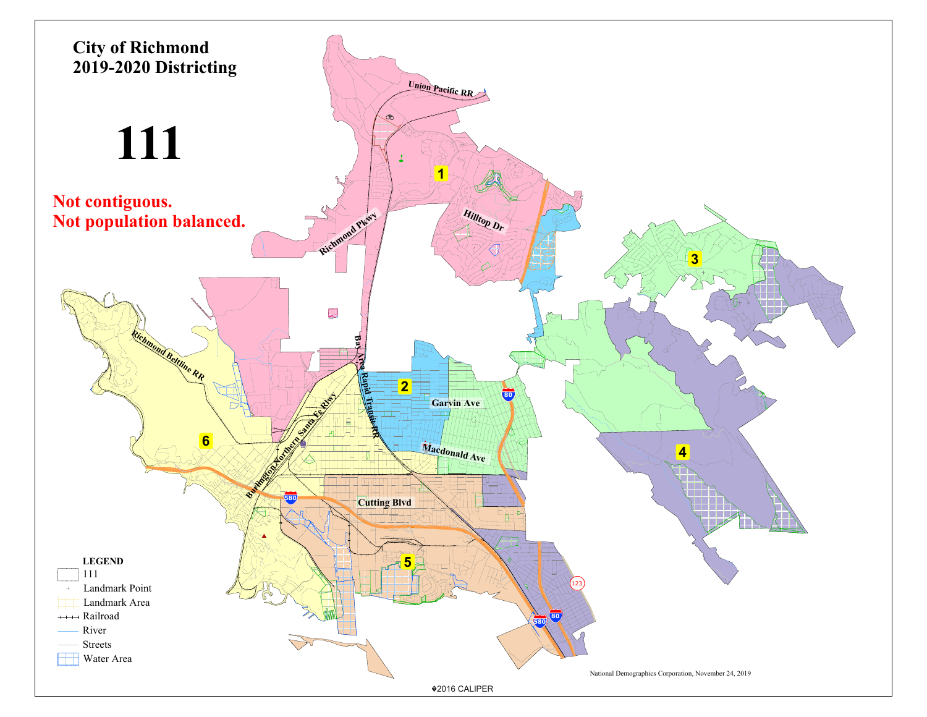